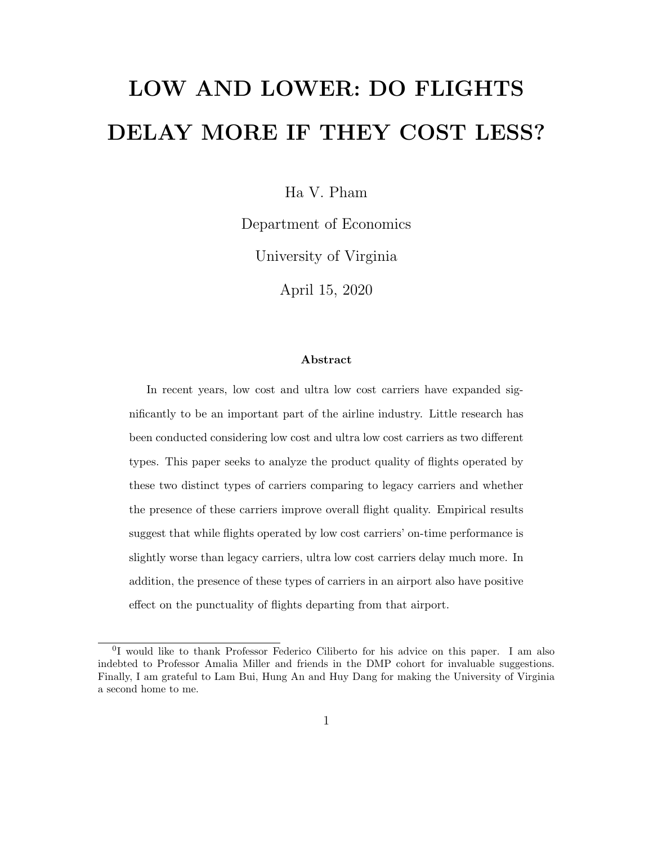# LOW AND LOWER: DO FLIGHTS DELAY MORE IF THEY COST LESS?

Ha V. Pham

Department of Economics

University of Virginia

April 15, 2020

#### Abstract

In recent years, low cost and ultra low cost carriers have expanded significantly to be an important part of the airline industry. Little research has been conducted considering low cost and ultra low cost carriers as two different types. This paper seeks to analyze the product quality of flights operated by these two distinct types of carriers comparing to legacy carriers and whether the presence of these carriers improve overall flight quality. Empirical results suggest that while flights operated by low cost carriers' on-time performance is slightly worse than legacy carriers, ultra low cost carriers delay much more. In addition, the presence of these types of carriers in an airport also have positive effect on the punctuality of flights departing from that airport.

<sup>&</sup>lt;sup>0</sup>I would like to thank Professor Federico Ciliberto for his advice on this paper. I am also indebted to Professor Amalia Miller and friends in the DMP cohort for invaluable suggestions. Finally, I am grateful to Lam Bui, Hung An and Huy Dang for making the University of Virginia a second home to me.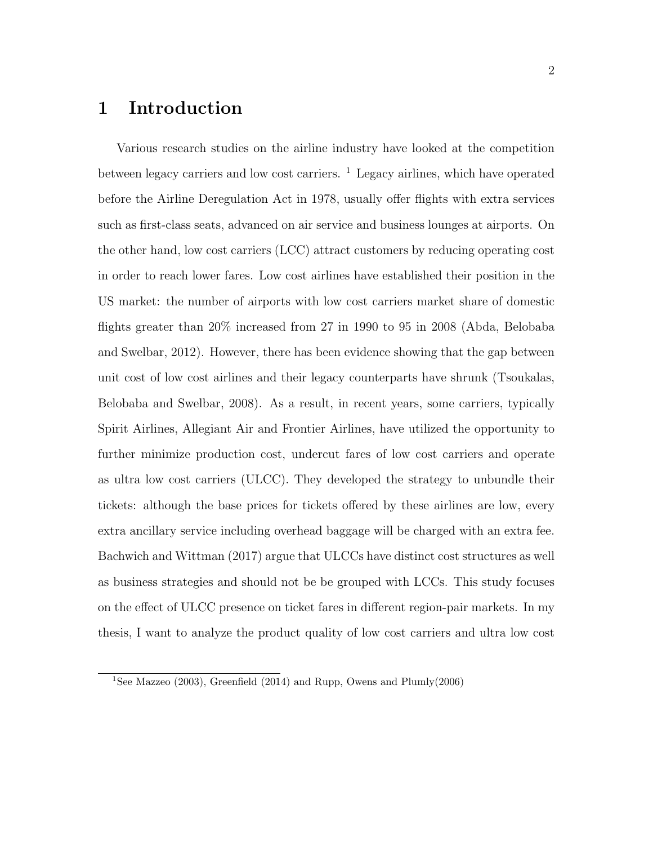### 1 Introduction

Various research studies on the airline industry have looked at the competition between legacy carriers and low cost carriers.  $\frac{1}{1}$  Legacy airlines, which have operated before the Airline Deregulation Act in 1978, usually offer flights with extra services such as first-class seats, advanced on air service and business lounges at airports. On the other hand, low cost carriers (LCC) attract customers by reducing operating cost in order to reach lower fares. Low cost airlines have established their position in the US market: the number of airports with low cost carriers market share of domestic flights greater than 20% increased from 27 in 1990 to 95 in 2008 (Abda, Belobaba and Swelbar, 2012). However, there has been evidence showing that the gap between unit cost of low cost airlines and their legacy counterparts have shrunk (Tsoukalas, Belobaba and Swelbar, 2008). As a result, in recent years, some carriers, typically Spirit Airlines, Allegiant Air and Frontier Airlines, have utilized the opportunity to further minimize production cost, undercut fares of low cost carriers and operate as ultra low cost carriers (ULCC). They developed the strategy to unbundle their tickets: although the base prices for tickets offered by these airlines are low, every extra ancillary service including overhead baggage will be charged with an extra fee. Bachwich and Wittman (2017) argue that ULCCs have distinct cost structures as well as business strategies and should not be be grouped with LCCs. This study focuses on the effect of ULCC presence on ticket fares in different region-pair markets. In my thesis, I want to analyze the product quality of low cost carriers and ultra low cost

<sup>&</sup>lt;sup>1</sup>See Mazzeo (2003), Greenfield (2014) and Rupp, Owens and Plumly(2006)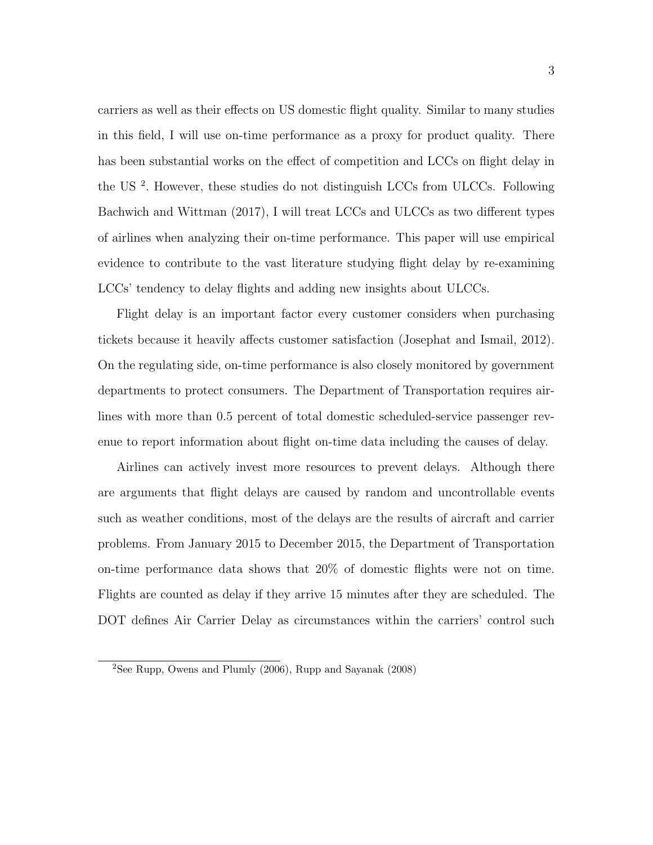carriers as well as their effects on US domestic flight quality. Similar to many studies in this field, I will use on-time performance as a proxy for product quality. There has been substantial works on the effect of competition and LCCs on flight delay in the US <sup>2</sup> . However, these studies do not distinguish LCCs from ULCCs. Following Bachwich and Wittman (2017), I will treat LCCs and ULCCs as two different types of airlines when analyzing their on-time performance. This paper will use empirical evidence to contribute to the vast literature studying flight delay by re-examining LCCs' tendency to delay flights and adding new insights about ULCCs.

Flight delay is an important factor every customer considers when purchasing tickets because it heavily affects customer satisfaction (Josephat and Ismail, 2012). On the regulating side, on-time performance is also closely monitored by government departments to protect consumers. The Department of Transportation requires airlines with more than 0.5 percent of total domestic scheduled-service passenger revenue to report information about flight on-time data including the causes of delay.

Airlines can actively invest more resources to prevent delays. Although there are arguments that flight delays are caused by random and uncontrollable events such as weather conditions, most of the delays are the results of aircraft and carrier problems. From January 2015 to December 2015, the Department of Transportation on-time performance data shows that 20% of domestic flights were not on time. Flights are counted as delay if they arrive 15 minutes after they are scheduled. The DOT defines Air Carrier Delay as circumstances within the carriers' control such

<sup>2</sup>See Rupp, Owens and Plumly (2006), Rupp and Sayanak (2008)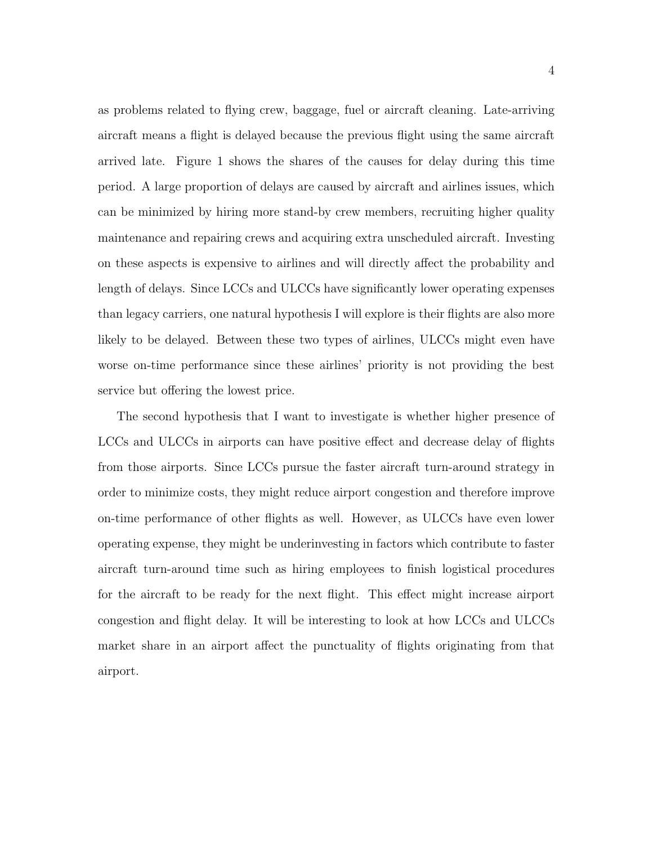as problems related to flying crew, baggage, fuel or aircraft cleaning. Late-arriving aircraft means a flight is delayed because the previous flight using the same aircraft arrived late. Figure 1 shows the shares of the causes for delay during this time period. A large proportion of delays are caused by aircraft and airlines issues, which can be minimized by hiring more stand-by crew members, recruiting higher quality maintenance and repairing crews and acquiring extra unscheduled aircraft. Investing on these aspects is expensive to airlines and will directly affect the probability and length of delays. Since LCCs and ULCCs have significantly lower operating expenses than legacy carriers, one natural hypothesis I will explore is their flights are also more likely to be delayed. Between these two types of airlines, ULCCs might even have worse on-time performance since these airlines' priority is not providing the best service but offering the lowest price.

The second hypothesis that I want to investigate is whether higher presence of LCCs and ULCCs in airports can have positive effect and decrease delay of flights from those airports. Since LCCs pursue the faster aircraft turn-around strategy in order to minimize costs, they might reduce airport congestion and therefore improve on-time performance of other flights as well. However, as ULCCs have even lower operating expense, they might be underinvesting in factors which contribute to faster aircraft turn-around time such as hiring employees to finish logistical procedures for the aircraft to be ready for the next flight. This effect might increase airport congestion and flight delay. It will be interesting to look at how LCCs and ULCCs market share in an airport affect the punctuality of flights originating from that airport.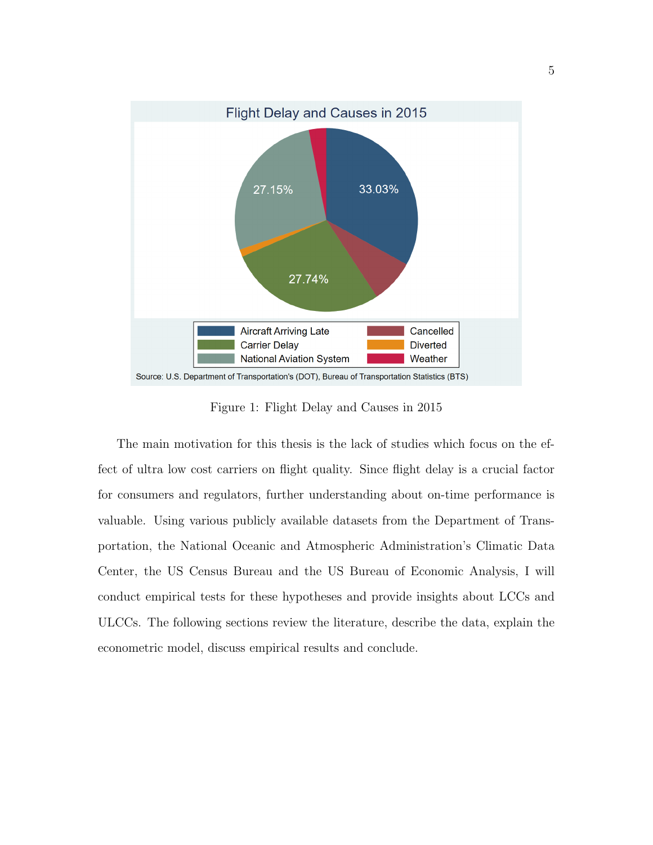

Figure 1: Flight Delay and Causes in 2015

The main motivation for this thesis is the lack of studies which focus on the effect of ultra low cost carriers on flight quality. Since flight delay is a crucial factor for consumers and regulators, further understanding about on-time performance is valuable. Using various publicly available datasets from the Department of Transportation, the National Oceanic and Atmospheric Administration's Climatic Data Center, the US Census Bureau and the US Bureau of Economic Analysis, I will conduct empirical tests for these hypotheses and provide insights about LCCs and ULCCs. The following sections review the literature, describe the data, explain the econometric model, discuss empirical results and conclude.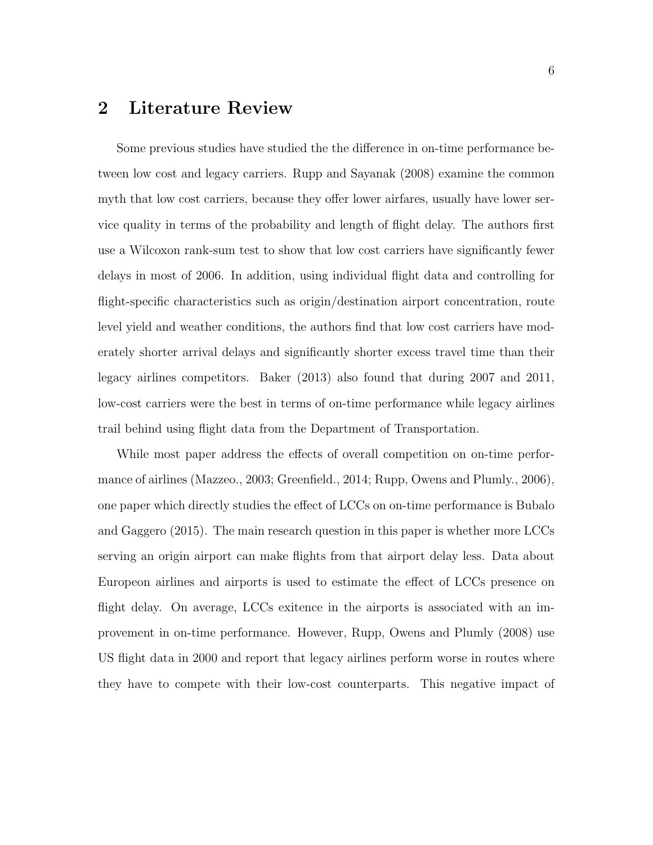### 2 Literature Review

Some previous studies have studied the the difference in on-time performance between low cost and legacy carriers. Rupp and Sayanak (2008) examine the common myth that low cost carriers, because they offer lower airfares, usually have lower service quality in terms of the probability and length of flight delay. The authors first use a Wilcoxon rank-sum test to show that low cost carriers have significantly fewer delays in most of 2006. In addition, using individual flight data and controlling for flight-specific characteristics such as origin/destination airport concentration, route level yield and weather conditions, the authors find that low cost carriers have moderately shorter arrival delays and significantly shorter excess travel time than their legacy airlines competitors. Baker (2013) also found that during 2007 and 2011, low-cost carriers were the best in terms of on-time performance while legacy airlines trail behind using flight data from the Department of Transportation.

While most paper address the effects of overall competition on on-time performance of airlines (Mazzeo., 2003; Greenfield., 2014; Rupp, Owens and Plumly., 2006), one paper which directly studies the effect of LCCs on on-time performance is Bubalo and Gaggero (2015). The main research question in this paper is whether more LCCs serving an origin airport can make flights from that airport delay less. Data about Europeon airlines and airports is used to estimate the effect of LCCs presence on flight delay. On average, LCCs exitence in the airports is associated with an improvement in on-time performance. However, Rupp, Owens and Plumly (2008) use US flight data in 2000 and report that legacy airlines perform worse in routes where they have to compete with their low-cost counterparts. This negative impact of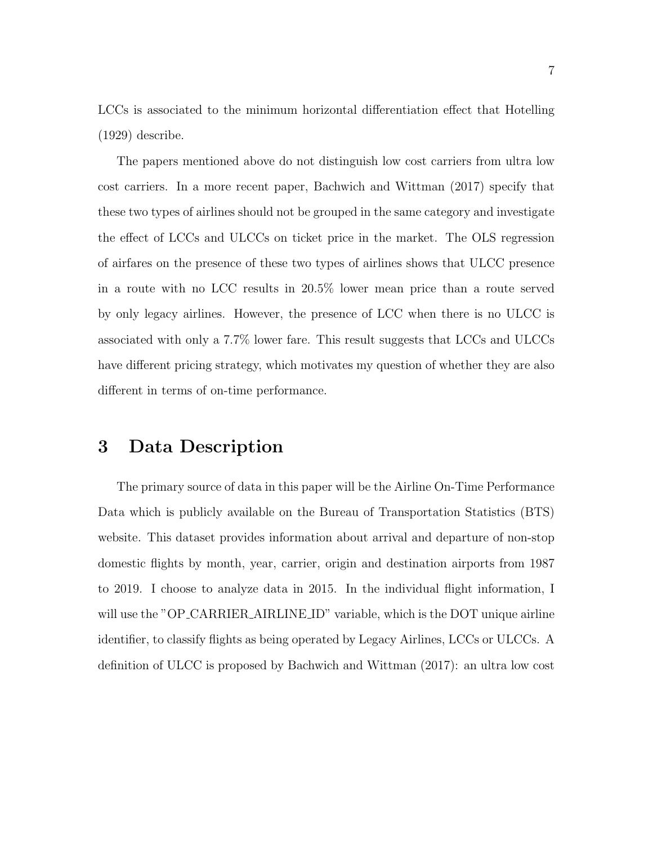LCCs is associated to the minimum horizontal differentiation effect that Hotelling (1929) describe.

The papers mentioned above do not distinguish low cost carriers from ultra low cost carriers. In a more recent paper, Bachwich and Wittman (2017) specify that these two types of airlines should not be grouped in the same category and investigate the effect of LCCs and ULCCs on ticket price in the market. The OLS regression of airfares on the presence of these two types of airlines shows that ULCC presence in a route with no LCC results in 20.5% lower mean price than a route served by only legacy airlines. However, the presence of LCC when there is no ULCC is associated with only a 7.7% lower fare. This result suggests that LCCs and ULCCs have different pricing strategy, which motivates my question of whether they are also different in terms of on-time performance.

#### 3 Data Description

The primary source of data in this paper will be the Airline On-Time Performance Data which is publicly available on the Bureau of Transportation Statistics (BTS) website. This dataset provides information about arrival and departure of non-stop domestic flights by month, year, carrier, origin and destination airports from 1987 to 2019. I choose to analyze data in 2015. In the individual flight information, I will use the "OP\_CARRIER\_AIRLINE\_ID" variable, which is the DOT unique airline identifier, to classify flights as being operated by Legacy Airlines, LCCs or ULCCs. A definition of ULCC is proposed by Bachwich and Wittman (2017): an ultra low cost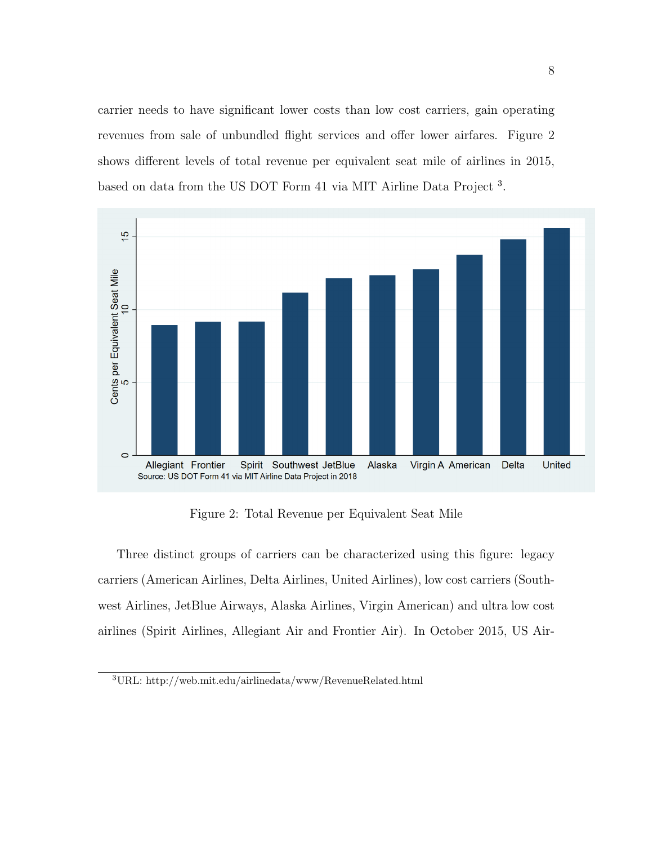carrier needs to have significant lower costs than low cost carriers, gain operating revenues from sale of unbundled flight services and offer lower airfares. Figure 2 shows different levels of total revenue per equivalent seat mile of airlines in 2015, based on data from the US DOT Form 41 via MIT Airline Data Project<sup>3</sup>.



Figure 2: Total Revenue per Equivalent Seat Mile

Three distinct groups of carriers can be characterized using this figure: legacy carriers (American Airlines, Delta Airlines, United Airlines), low cost carriers (Southwest Airlines, JetBlue Airways, Alaska Airlines, Virgin American) and ultra low cost airlines (Spirit Airlines, Allegiant Air and Frontier Air). In October 2015, US Air-

<sup>3</sup>URL: http://web.mit.edu/airlinedata/www/RevenueRelated.html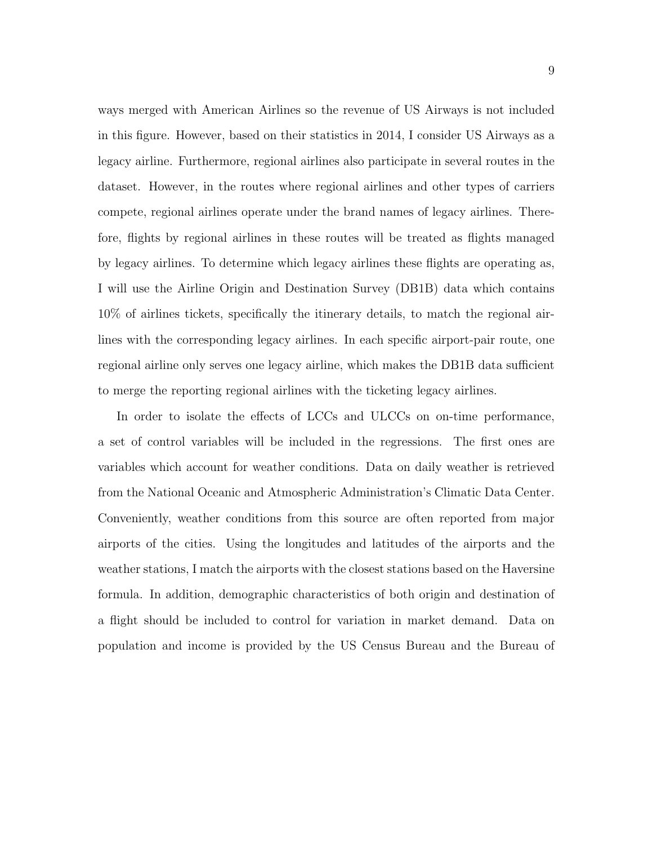ways merged with American Airlines so the revenue of US Airways is not included in this figure. However, based on their statistics in 2014, I consider US Airways as a legacy airline. Furthermore, regional airlines also participate in several routes in the dataset. However, in the routes where regional airlines and other types of carriers compete, regional airlines operate under the brand names of legacy airlines. Therefore, flights by regional airlines in these routes will be treated as flights managed by legacy airlines. To determine which legacy airlines these flights are operating as, I will use the Airline Origin and Destination Survey (DB1B) data which contains 10% of airlines tickets, specifically the itinerary details, to match the regional airlines with the corresponding legacy airlines. In each specific airport-pair route, one regional airline only serves one legacy airline, which makes the DB1B data sufficient to merge the reporting regional airlines with the ticketing legacy airlines.

In order to isolate the effects of LCCs and ULCCs on on-time performance, a set of control variables will be included in the regressions. The first ones are variables which account for weather conditions. Data on daily weather is retrieved from the National Oceanic and Atmospheric Administration's Climatic Data Center. Conveniently, weather conditions from this source are often reported from major airports of the cities. Using the longitudes and latitudes of the airports and the weather stations, I match the airports with the closest stations based on the Haversine formula. In addition, demographic characteristics of both origin and destination of a flight should be included to control for variation in market demand. Data on population and income is provided by the US Census Bureau and the Bureau of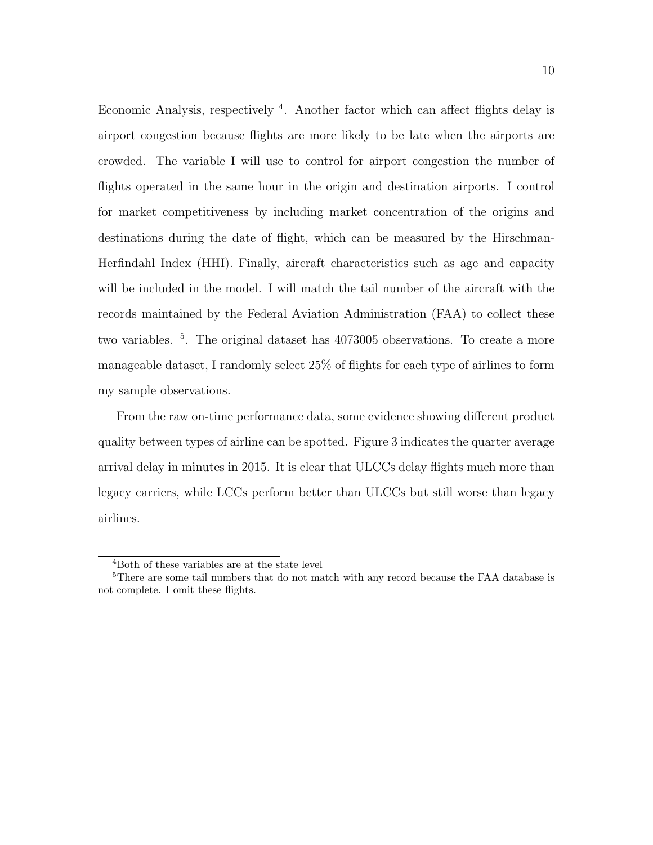Economic Analysis, respectively <sup>4</sup>. Another factor which can affect flights delay is airport congestion because flights are more likely to be late when the airports are crowded. The variable I will use to control for airport congestion the number of flights operated in the same hour in the origin and destination airports. I control for market competitiveness by including market concentration of the origins and destinations during the date of flight, which can be measured by the Hirschman-Herfindahl Index (HHI). Finally, aircraft characteristics such as age and capacity will be included in the model. I will match the tail number of the aircraft with the records maintained by the Federal Aviation Administration (FAA) to collect these two variables. <sup>5</sup>. The original dataset has 4073005 observations. To create a more manageable dataset, I randomly select 25% of flights for each type of airlines to form my sample observations.

From the raw on-time performance data, some evidence showing different product quality between types of airline can be spotted. Figure 3 indicates the quarter average arrival delay in minutes in 2015. It is clear that ULCCs delay flights much more than legacy carriers, while LCCs perform better than ULCCs but still worse than legacy airlines.

<sup>4</sup>Both of these variables are at the state level

<sup>&</sup>lt;sup>5</sup>There are some tail numbers that do not match with any record because the FAA database is not complete. I omit these flights.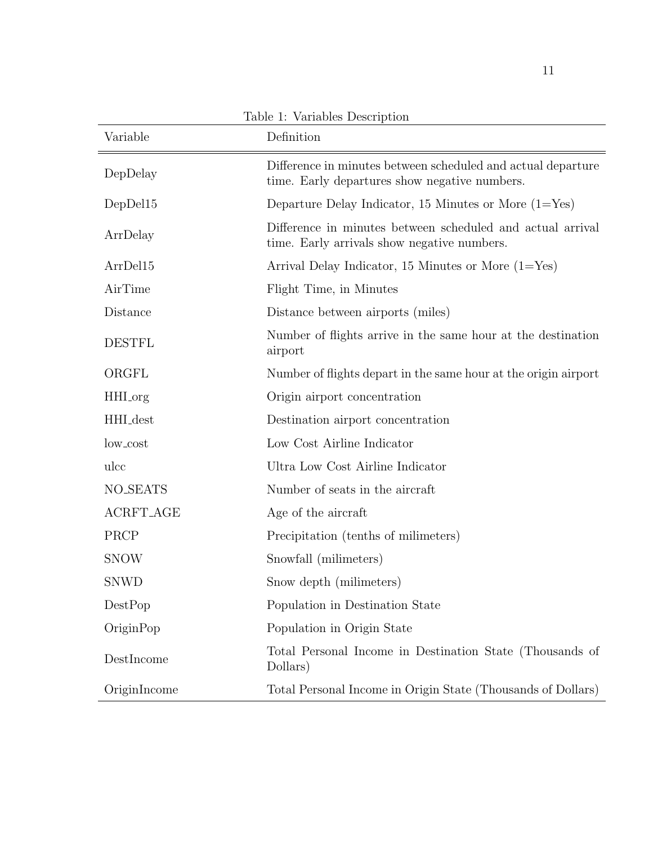| Variable         | Definition                                                                                                    |
|------------------|---------------------------------------------------------------------------------------------------------------|
| DepDelay         | Difference in minutes between scheduled and actual departure<br>time. Early departures show negative numbers. |
| DepDel15         | Departure Delay Indicator, 15 Minutes or More $(1 = Yes)$                                                     |
| ArrDelay         | Difference in minutes between scheduled and actual arrival<br>time. Early arrivals show negative numbers.     |
| ArrDel15         | Arrival Delay Indicator, 15 Minutes or More $(1 = Yes)$                                                       |
| AirTime          | Flight Time, in Minutes                                                                                       |
| Distance         | Distance between airports (miles)                                                                             |
| <b>DESTFL</b>    | Number of flights arrive in the same hour at the destination<br>airport                                       |
| ORGFL            | Number of flights depart in the same hour at the origin airport                                               |
| HHI_org          | Origin airport concentration                                                                                  |
| HHI_dest         | Destination airport concentration                                                                             |
| low_cost         | Low Cost Airline Indicator                                                                                    |
| ulcc             | Ultra Low Cost Airline Indicator                                                                              |
| <b>NO_SEATS</b>  | Number of seats in the aircraft                                                                               |
| <b>ACRFT_AGE</b> | Age of the aircraft                                                                                           |
| PRCP             | Precipitation (tenths of milimeters)                                                                          |
| <b>SNOW</b>      | Snowfall (milimeters)                                                                                         |
| <b>SNWD</b>      | Snow depth (milimeters)                                                                                       |
| DestPop          | Population in Destination State                                                                               |
| OriginPop        | Population in Origin State                                                                                    |
| DestIncome       | Total Personal Income in Destination State (Thousands of<br>Dollars)                                          |
| OriginIncome     | Total Personal Income in Origin State (Thousands of Dollars)                                                  |

Table 1: Variables Description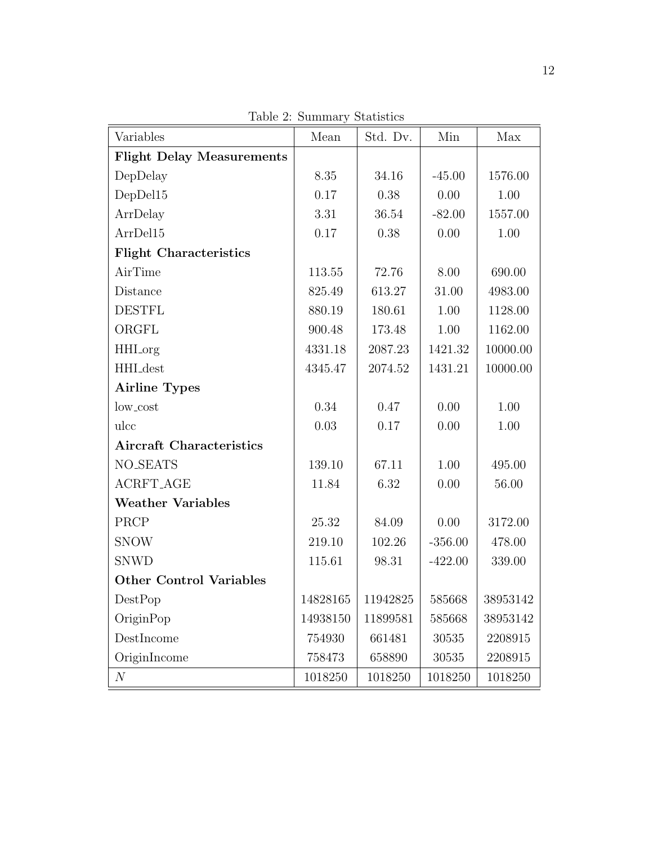| Variables                        | Mean     | Std. Dv. | Min       | Max      |
|----------------------------------|----------|----------|-----------|----------|
| <b>Flight Delay Measurements</b> |          |          |           |          |
| DepDelay                         | 8.35     | 34.16    | $-45.00$  | 1576.00  |
| DepDel15                         | 0.17     | 0.38     | 0.00      | 1.00     |
| ArrDelay                         | 3.31     | 36.54    | $-82.00$  | 1557.00  |
| ArrDel15                         | 0.17     | 0.38     | 0.00      | 1.00     |
| <b>Flight Characteristics</b>    |          |          |           |          |
| AirTime                          | 113.55   | 72.76    | 8.00      | 690.00   |
| Distance                         | 825.49   | 613.27   | 31.00     | 4983.00  |
| <b>DESTFL</b>                    | 880.19   | 180.61   | 1.00      | 1128.00  |
| ORGFL                            | 900.48   | 173.48   | 1.00      | 1162.00  |
| <b>HHI</b> _org                  | 4331.18  | 2087.23  | 1421.32   | 10000.00 |
| HHI_dest                         | 4345.47  | 2074.52  | 1431.21   | 10000.00 |
| <b>Airline Types</b>             |          |          |           |          |
| low_cost                         | 0.34     | 0.47     | 0.00      | 1.00     |
| ulcc                             | 0.03     | 0.17     | 0.00      | 1.00     |
| <b>Aircraft Characteristics</b>  |          |          |           |          |
| <b>NO_SEATS</b>                  | 139.10   | 67.11    | 1.00      | 495.00   |
| <b>ACRFT_AGE</b>                 | 11.84    | 6.32     | 0.00      | 56.00    |
| <b>Weather Variables</b>         |          |          |           |          |
| PRCP                             | 25.32    | 84.09    | 0.00      | 3172.00  |
| <b>SNOW</b>                      | 219.10   | 102.26   | $-356.00$ | 478.00   |
| <b>SNWD</b>                      | 115.61   | 98.31    | $-422.00$ | 339.00   |
| <b>Other Control Variables</b>   |          |          |           |          |
| DestPop                          | 14828165 | 11942825 | 585668    | 38953142 |
| OriginPop                        | 14938150 | 11899581 | 585668    | 38953142 |
| DestIncome                       | 754930   | 661481   | 30535     | 2208915  |
| OriginIncome                     | 758473   | 658890   | 30535     | 2208915  |
| $\mathcal N$                     | 1018250  | 1018250  | 1018250   | 1018250  |

Table 2: Summary Statistics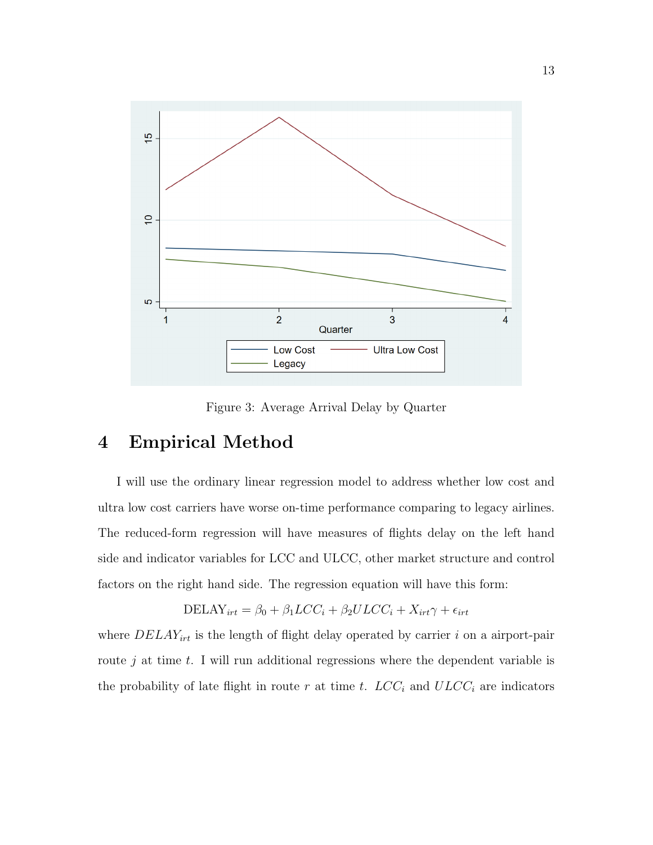

Figure 3: Average Arrival Delay by Quarter

## 4 Empirical Method

I will use the ordinary linear regression model to address whether low cost and ultra low cost carriers have worse on-time performance comparing to legacy airlines. The reduced-form regression will have measures of flights delay on the left hand side and indicator variables for LCC and ULCC, other market structure and control factors on the right hand side. The regression equation will have this form:

$$
DELAY_{irt} = \beta_0 + \beta_1 LCC_i + \beta_2 ULCC_i + X_{irt}\gamma + \epsilon_{irt}
$$

where  $DELAY_{irt}$  is the length of flight delay operated by carrier i on a airport-pair route  $j$  at time  $t$ . I will run additional regressions where the dependent variable is the probability of late flight in route r at time t.  $LCC_i$  and  $ULCC_i$  are indicators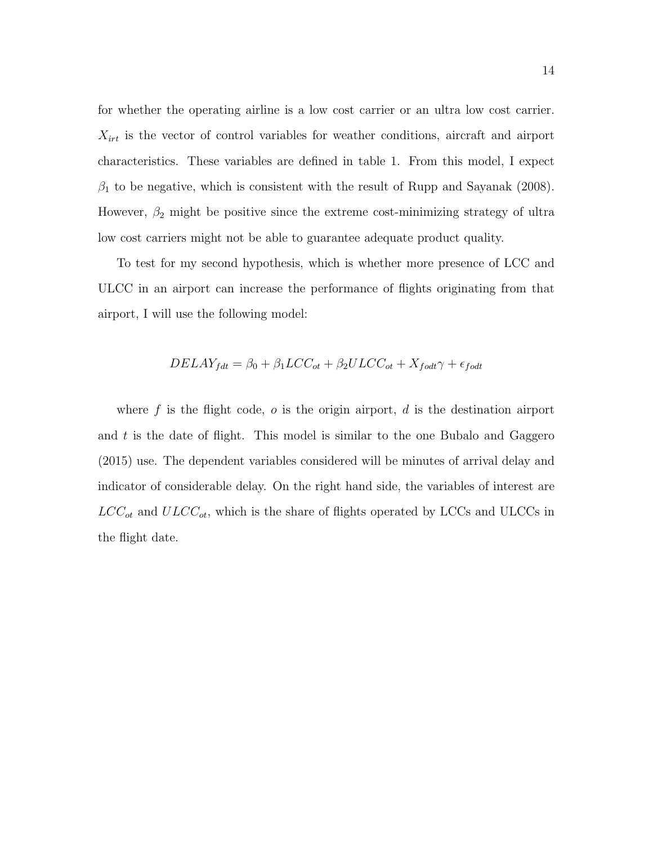for whether the operating airline is a low cost carrier or an ultra low cost carrier.  $X_{irt}$  is the vector of control variables for weather conditions, aircraft and airport characteristics. These variables are defined in table 1. From this model, I expect  $\beta_1$  to be negative, which is consistent with the result of Rupp and Sayanak (2008). However,  $\beta_2$  might be positive since the extreme cost-minimizing strategy of ultra low cost carriers might not be able to guarantee adequate product quality.

To test for my second hypothesis, which is whether more presence of LCC and ULCC in an airport can increase the performance of flights originating from that airport, I will use the following model:

$$
DELAY_{fdt} = \beta_0 + \beta_1 LCC_{ot} + \beta_2 ULCC_{ot} + X_{fodt} \gamma + \epsilon_{fodt}
$$

where  $f$  is the flight code,  $o$  is the origin airport,  $d$  is the destination airport and  $t$  is the date of flight. This model is similar to the one Bubalo and Gaggero (2015) use. The dependent variables considered will be minutes of arrival delay and indicator of considerable delay. On the right hand side, the variables of interest are  $LCC_{ot}$  and  $ULCC_{ot}$ , which is the share of flights operated by LCCs and ULCCs in the flight date.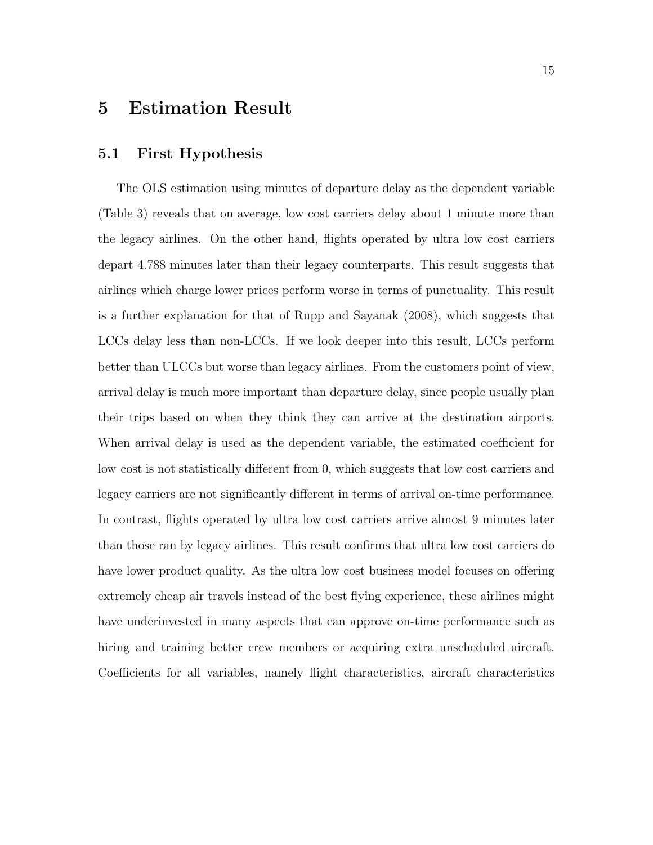#### 5 Estimation Result

#### 5.1 First Hypothesis

The OLS estimation using minutes of departure delay as the dependent variable (Table 3) reveals that on average, low cost carriers delay about 1 minute more than the legacy airlines. On the other hand, flights operated by ultra low cost carriers depart 4.788 minutes later than their legacy counterparts. This result suggests that airlines which charge lower prices perform worse in terms of punctuality. This result is a further explanation for that of Rupp and Sayanak (2008), which suggests that LCCs delay less than non-LCCs. If we look deeper into this result, LCCs perform better than ULCCs but worse than legacy airlines. From the customers point of view, arrival delay is much more important than departure delay, since people usually plan their trips based on when they think they can arrive at the destination airports. When arrival delay is used as the dependent variable, the estimated coefficient for low cost is not statistically different from 0, which suggests that low cost carriers and legacy carriers are not significantly different in terms of arrival on-time performance. In contrast, flights operated by ultra low cost carriers arrive almost 9 minutes later than those ran by legacy airlines. This result confirms that ultra low cost carriers do have lower product quality. As the ultra low cost business model focuses on offering extremely cheap air travels instead of the best flying experience, these airlines might have underinvested in many aspects that can approve on-time performance such as hiring and training better crew members or acquiring extra unscheduled aircraft. Coefficients for all variables, namely flight characteristics, aircraft characteristics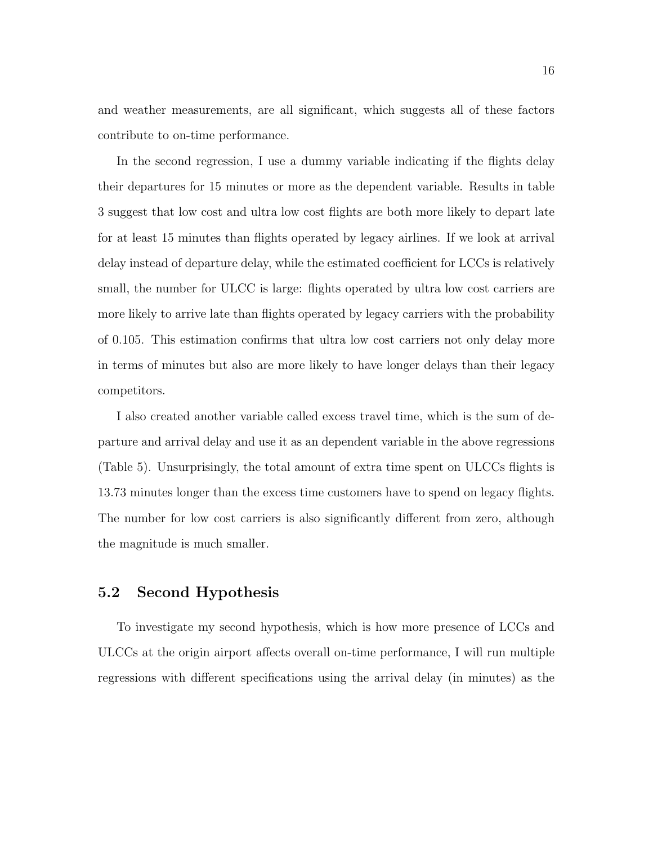and weather measurements, are all significant, which suggests all of these factors contribute to on-time performance.

In the second regression, I use a dummy variable indicating if the flights delay their departures for 15 minutes or more as the dependent variable. Results in table 3 suggest that low cost and ultra low cost flights are both more likely to depart late for at least 15 minutes than flights operated by legacy airlines. If we look at arrival delay instead of departure delay, while the estimated coefficient for LCCs is relatively small, the number for ULCC is large: flights operated by ultra low cost carriers are more likely to arrive late than flights operated by legacy carriers with the probability of 0.105. This estimation confirms that ultra low cost carriers not only delay more in terms of minutes but also are more likely to have longer delays than their legacy competitors.

I also created another variable called excess travel time, which is the sum of departure and arrival delay and use it as an dependent variable in the above regressions (Table 5). Unsurprisingly, the total amount of extra time spent on ULCCs flights is 13.73 minutes longer than the excess time customers have to spend on legacy flights. The number for low cost carriers is also significantly different from zero, although the magnitude is much smaller.

#### 5.2 Second Hypothesis

To investigate my second hypothesis, which is how more presence of LCCs and ULCCs at the origin airport affects overall on-time performance, I will run multiple regressions with different specifications using the arrival delay (in minutes) as the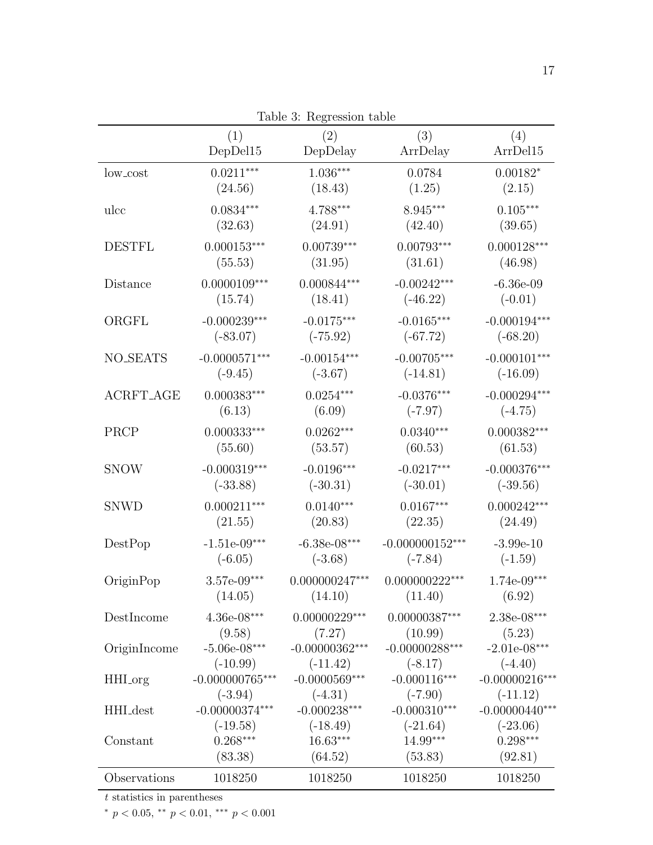|                  | (1)<br>DepDel15   | Table 3: Regression table<br>(2)<br>DepDelay | (3)<br>ArrDelay   | (4)<br>ArrDel15  |
|------------------|-------------------|----------------------------------------------|-------------------|------------------|
| low_cost         | $0.0211***$       | $1.036***$                                   | 0.0784            | $0.00182*$       |
|                  | (24.56)           | (18.43)                                      | (1.25)            | (2.15)           |
| ulcc             | $0.0834***$       | 4.788***                                     | 8.945***          | $0.105^{***}\,$  |
|                  | (32.63)           | (24.91)                                      | (42.40)           | (39.65)          |
| <b>DESTFL</b>    | $0.000153***$     | $0.00739***$                                 | $0.00793***$      | $0.000128***$    |
|                  | (55.53)           | (31.95)                                      | (31.61)           | (46.98)          |
| Distance         | $0.0000109***$    | $0.000844***$                                | $-0.00242***$     | $-6.36e-09$      |
|                  | (15.74)           | (18.41)                                      | $(-46.22)$        | $(-0.01)$        |
| ORGFL            | $-0.000239***$    | $-0.0175***$                                 | $-0.0165***$      | $-0.000194***$   |
|                  | $(-83.07)$        | $(-75.92)$                                   | $(-67.72)$        | $(-68.20)$       |
| <b>NO_SEATS</b>  | $-0.0000571***$   | $-0.00154***$                                | $-0.00705***$     | $-0.000101***$   |
|                  | $(-9.45)$         | $(-3.67)$                                    | $(-14.81)$        | $(-16.09)$       |
| <b>ACRFT_AGE</b> | $0.000383***$     | $0.0254***$                                  | $-0.0376***$      | $-0.000294***$   |
|                  | (6.13)            | (6.09)                                       | $(-7.97)$         | $(-4.75)$        |
| PRCP             | $0.000333***$     | $0.0262***$                                  | $0.0340***$       | $0.000382***$    |
|                  | (55.60)           | (53.57)                                      | (60.53)           | (61.53)          |
| <b>SNOW</b>      | $-0.000319***$    | $-0.0196***$                                 | $-0.0217***$      | $-0.000376***$   |
|                  | $(-33.88)$        | $(-30.31)$                                   | $(-30.01)$        | $(-39.56)$       |
| <b>SNWD</b>      | $0.000211***$     | $0.0140***$                                  | $0.0167***$       | $0.000242***$    |
|                  | (21.55)           | (20.83)                                      | (22.35)           | (24.49)          |
| DestPop          | $-1.51e-09***$    | $-6.38e-08***$                               | $-0.000000152***$ | $-3.99e-10$      |
|                  | $(-6.05)$         | $(-3.68)$                                    | $(-7.84)$         | $(-1.59)$        |
| OriginPop        | $3.57e-09***$     | $0.000000247***$                             | $0.000000222***$  | $1.74e-09***$    |
|                  | (14.05)           | (14.10)                                      | (11.40)           | (6.92)           |
| DestIncome       | $4.36e-08***$     | $0.00000229^{\ast\ast\ast}$                  | $0.00000387***$   | 2.38e-08***      |
|                  | (9.58)            | (7.27)                                       | (10.99)           | (5.23)           |
| OriginIncome     | $-5.06e-08***$    | $-0.00000362***$                             | $-0.00000288***$  | $-2.01e-08***$   |
|                  | $(-10.99)$        | $(-11.42)$                                   | $(-8.17)$         | $(-4.40)$        |
| HHI_org          | $-0.000000765***$ | $-0.0000569***$                              | $-0.000116***$    | $-0.00000216***$ |
|                  | $(-3.94)$         | $(-4.31)$                                    | $(-7.90)$         | $(-11.12)$       |
| HHI_dest         | $-0.00000374***$  | $-0.000238***$                               | $-0.000310***$    | $-0.00000440***$ |
|                  | $(-19.58)$        | $(-18.49)$                                   | $(-21.64)$        | $(-23.06)$       |
| Constant         | $0.268***$        | $16.63***$                                   | 14.99***          | $0.298***$       |
|                  | (83.38)           | (64.52)                                      | (53.83)           | (92.81)          |
| Observations     | 1018250           | 1018250                                      | 1018250           | 1018250          |

Table 3: Regression table

 $t$  statistics in parentheses

 $^{*}$   $p$   $<$  0.05,  $^{**}$   $p$   $<$  0.01,  $^{***}$   $p$   $<$  0.001  $\,$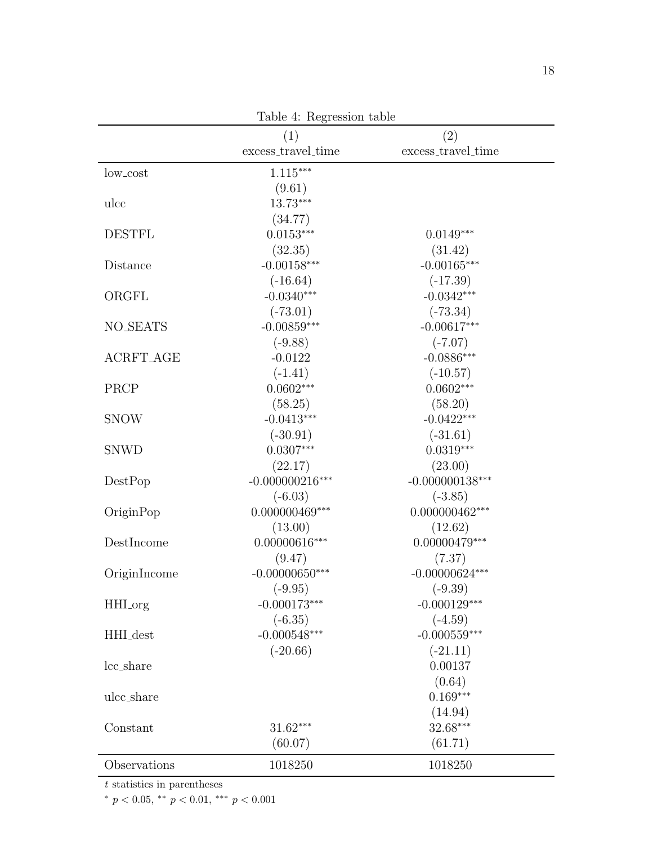|                  | (1)                          | (2)                |
|------------------|------------------------------|--------------------|
|                  | excess_travel_time           | excess_travel_time |
| low_cost         | $1.115***$                   |                    |
|                  | (9.61)                       |                    |
| ulcc             | 13.73***                     |                    |
|                  | (34.77)                      |                    |
| <b>DESTFL</b>    | $0.0153***$                  | $0.0149***$        |
|                  | (32.35)                      | (31.42)            |
| Distance         | $-0.00158***$                | $-0.00165***$      |
|                  | $(-16.64)$                   | $(-17.39)$         |
| ORGFL            | $-0.0340***$                 | $-0.0342***$       |
|                  | $(-73.01)$                   | $(-73.34)$         |
| <b>NO_SEATS</b>  | $-0.00859***$                | $-0.00617***$      |
|                  | $(-9.88)$                    | $(-7.07)$          |
| <b>ACRFT_AGE</b> | $-0.0122$                    | $-0.0886***$       |
|                  | $(-1.41)$                    | $(-10.57)$         |
| PRCP             | $0.0602***$                  | $0.0602***$        |
|                  | (58.25)                      | (58.20)            |
| <b>SNOW</b>      | $-0.0413***$                 | $-0.0422***$       |
|                  | $(-30.91)$                   | $(-31.61)$         |
| <b>SNWD</b>      | $0.0307***$                  | $0.0319***$        |
|                  | (22.17)                      | (23.00)            |
| DestPop          | $-0.000000216***$            | $-0.000000138***$  |
|                  | $(-6.03)$                    | $(-3.85)$          |
| OriginPop        | $0.000000469^{\ast\ast\ast}$ | $0.000000462***$   |
|                  | (13.00)                      | (12.62)            |
| DestIncome       | $0.00000616***$              | $0.00000479***$    |
|                  | (9.47)                       | (7.37)             |
| OriginIncome     | $-0.00000650***$             | $-0.00000624***$   |
|                  | $(-9.95)$                    | $(-9.39)$          |
| HHI_org          | $-0.000173***$               | $-0.000129***$     |
|                  | $(-6.35)$                    | $(-4.59)$          |
| HHI_dest         | $-0.000548***$               | $-0.000559***$     |
|                  | $(-20.66)$                   | $(-21.11)$         |
| lcc_share        |                              | 0.00137            |
|                  |                              | (0.64)             |
| ulcc_share       |                              | $0.169***$         |
|                  |                              | (14.94)            |
| Constant         | $31.62***$                   | 32.68***           |
|                  | (60.07)                      | (61.71)            |
| Observations     |                              |                    |
|                  | 1018250                      | 1018250            |

Table 4: Regression table

t statistics in parentheses

\*  $p < 0.05$ , \*\*  $p < 0.01$ , \*\*\*  $p < 0.001$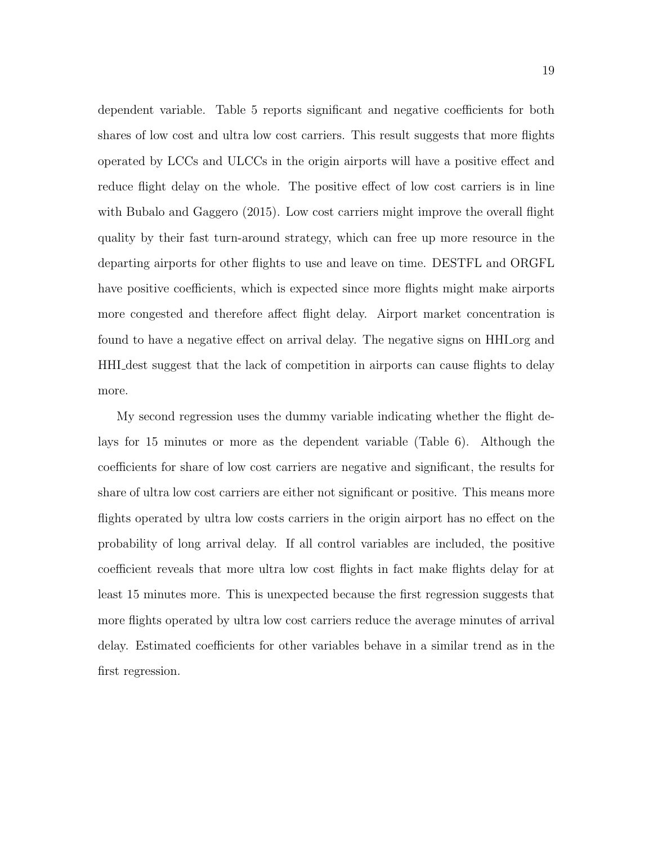dependent variable. Table 5 reports significant and negative coefficients for both shares of low cost and ultra low cost carriers. This result suggests that more flights operated by LCCs and ULCCs in the origin airports will have a positive effect and reduce flight delay on the whole. The positive effect of low cost carriers is in line with Bubalo and Gaggero (2015). Low cost carriers might improve the overall flight quality by their fast turn-around strategy, which can free up more resource in the departing airports for other flights to use and leave on time. DESTFL and ORGFL have positive coefficients, which is expected since more flights might make airports more congested and therefore affect flight delay. Airport market concentration is found to have a negative effect on arrival delay. The negative signs on HHI org and HHI dest suggest that the lack of competition in airports can cause flights to delay more.

My second regression uses the dummy variable indicating whether the flight delays for 15 minutes or more as the dependent variable (Table 6). Although the coefficients for share of low cost carriers are negative and significant, the results for share of ultra low cost carriers are either not significant or positive. This means more flights operated by ultra low costs carriers in the origin airport has no effect on the probability of long arrival delay. If all control variables are included, the positive coefficient reveals that more ultra low cost flights in fact make flights delay for at least 15 minutes more. This is unexpected because the first regression suggests that more flights operated by ultra low cost carriers reduce the average minutes of arrival delay. Estimated coefficients for other variables behave in a similar trend as in the first regression.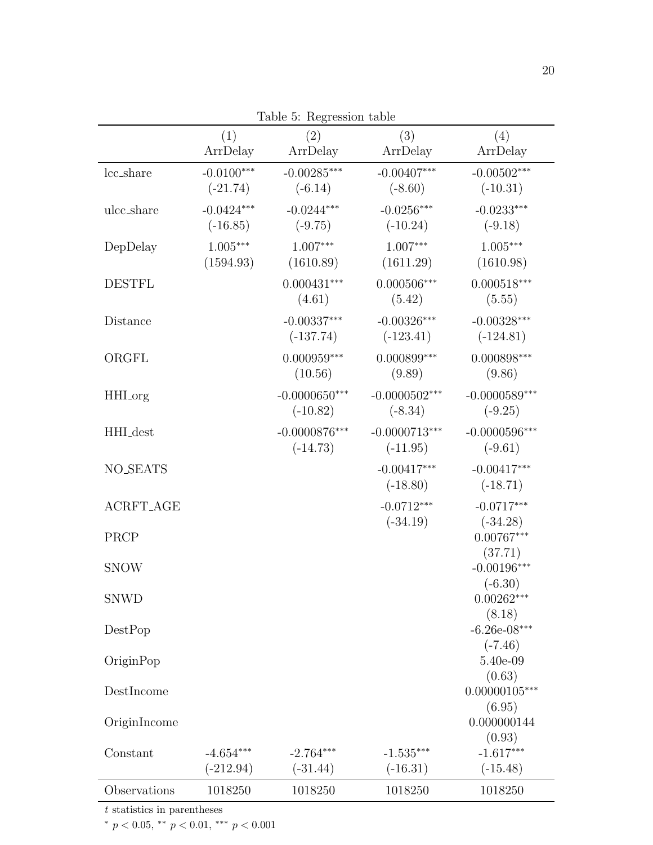|                            | (1)<br>ArrDelay            | (2)<br>ArrDelay               | (3)<br>ArrDelay               | (4)<br>ArrDelay                            |
|----------------------------|----------------------------|-------------------------------|-------------------------------|--------------------------------------------|
| lcc_share                  | $-0.0100***$<br>$(-21.74)$ | $-0.00285***$<br>$(-6.14)$    | $-0.00407***$<br>$(-8.60)$    | $-0.00502***$<br>$(-10.31)$                |
| ulcc_share                 | $-0.0424***$<br>$(-16.85)$ | $-0.0244***$<br>$(-9.75)$     | $-0.0256***$<br>$(-10.24)$    | $-0.0233***$<br>$(-9.18)$                  |
| DepDelay                   | $1.005***$<br>(1594.93)    | $1.007***$<br>(1610.89)       | $1.007***$<br>(1611.29)       | $1.005***$<br>(1610.98)                    |
| <b>DESTFL</b>              |                            | $0.000431***$<br>(4.61)       | $0.000506***$<br>(5.42)       | $0.000518***$<br>(5.55)                    |
| Distance                   |                            | $-0.00337***$<br>$(-137.74)$  | $-0.00326***$<br>$(-123.41)$  | $-0.00328***$<br>$(-124.81)$               |
| ORGFL                      |                            | $0.000959***$<br>(10.56)      | $0.000899***$<br>(9.89)       | $0.000898***$<br>(9.86)                    |
| HHI_org                    |                            | $-0.0000650***$<br>$(-10.82)$ | $-0.0000502***$<br>$(-8.34)$  | $-0.0000589***$<br>$(-9.25)$               |
| HHI_dest                   |                            | $-0.0000876***$<br>$(-14.73)$ | $-0.0000713***$<br>$(-11.95)$ | $-0.0000596***$<br>$(-9.61)$               |
| <b>NO_SEATS</b>            |                            |                               | $-0.00417***$<br>$(-18.80)$   | $-0.00417***$<br>$(-18.71)$                |
| <b>ACRFT_AGE</b>           |                            |                               | $-0.0712***$<br>$(-34.19)$    | $-0.0717***$<br>$(-34.28)$                 |
| PRCP                       |                            |                               |                               | $0.00767***$<br>(37.71)                    |
| <b>SNOW</b><br><b>SNWD</b> |                            |                               |                               | $-0.00196***$<br>$(-6.30)$<br>$0.00262***$ |
| DestPop                    |                            |                               |                               | (8.18)<br>$-6.26e-08***$                   |
| OriginPop                  |                            |                               |                               | $(-7.46)$<br>5.40e-09                      |
| DestIncome                 |                            |                               |                               | (0.63)<br>$0.00000105***$<br>(6.95)        |
| OriginIncome               |                            |                               |                               | 0.000000144<br>(0.93)                      |
| Constant                   | $-4.654***$<br>$(-212.94)$ | $-2.764***$<br>$(-31.44)$     | $-1.535***$<br>$(-16.31)$     | $-1.617***$<br>$(-15.48)$                  |
| Observations               | 1018250                    | 1018250                       | 1018250                       | 1018250                                    |

Table 5: Regression table

 $t$  statistics in parentheses

 $*$   $p$   $<$   $0.05,$   $^{**}$   $p$   $<$   $0.01,$   $^{***}$   $p$   $<$   $0.001$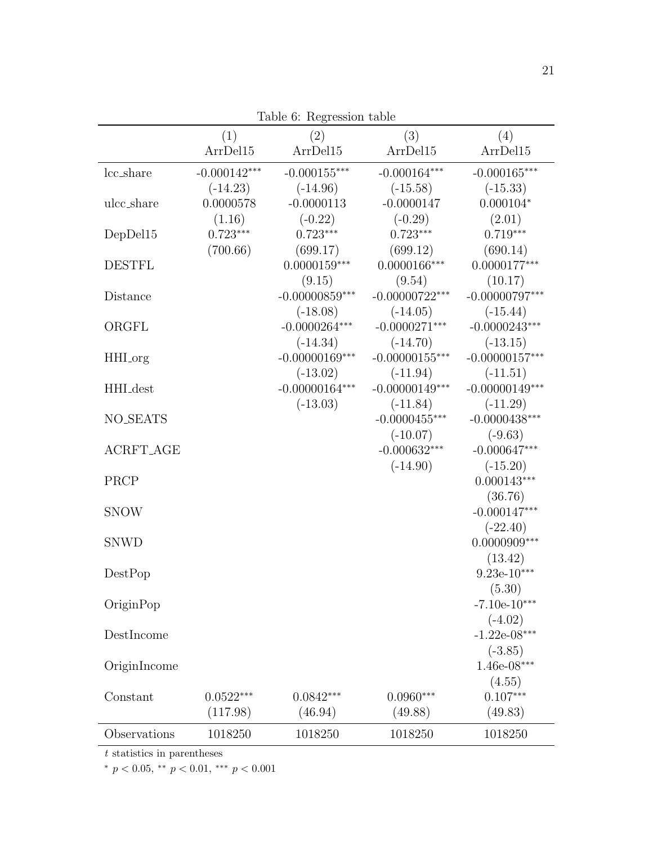| (1)<br>(3)<br>(2)<br>ArrDel15<br>ArrDel15<br>ArrDel15<br>lcc_share<br>$-0.000142***$<br>$-0.000155***$<br>$-0.000164***$<br>$(-14.96)$<br>$(-15.58)$<br>$(-14.23)$<br>$-0.0000113$<br>$-0.0000147$<br>ulcc_share<br>0.0000578<br>(1.16)<br>$(-0.22)$<br>$(-0.29)$<br>$0.723***$<br>$0.723***$<br>$0.723***$<br>DepDel15<br>(700.66)<br>(699.12)<br>(699.17)<br>$0.0000159***$<br>$0.0000166***$<br><b>DESTFL</b><br>(9.54)<br>(9.15)<br>$-0.00000859***$<br>$-0.00000722***$<br>Distance<br>$(-18.08)$<br>$(-14.05)$<br>$-0.0000264***$<br>$-0.0000271***$<br>ORGFL<br>$(-14.70)$<br>$(-14.34)$<br>$-0.00000169***$<br>$-0.00000155***$<br>HHI <sub>org</sub><br>$(-13.02)$<br>$(-11.94)$<br>$-0.00000164***$<br>$-0.00000149***$<br>HHI_dest<br>$(-13.03)$<br>$(-11.84)$<br><b>NO_SEATS</b><br>$-0.0000455***$<br>$(-10.07)$<br><b>ACRFT_AGE</b><br>$-0.000632***$<br>$(-14.90)$<br>PRCP<br><b>SNOW</b><br><b>SNWD</b><br>DestPop<br>OriginPop<br>DestIncome |                  |
|---------------------------------------------------------------------------------------------------------------------------------------------------------------------------------------------------------------------------------------------------------------------------------------------------------------------------------------------------------------------------------------------------------------------------------------------------------------------------------------------------------------------------------------------------------------------------------------------------------------------------------------------------------------------------------------------------------------------------------------------------------------------------------------------------------------------------------------------------------------------------------------------------------------------------------------------------------------|------------------|
|                                                                                                                                                                                                                                                                                                                                                                                                                                                                                                                                                                                                                                                                                                                                                                                                                                                                                                                                                               | (4)              |
|                                                                                                                                                                                                                                                                                                                                                                                                                                                                                                                                                                                                                                                                                                                                                                                                                                                                                                                                                               | ArrDel15         |
|                                                                                                                                                                                                                                                                                                                                                                                                                                                                                                                                                                                                                                                                                                                                                                                                                                                                                                                                                               | $-0.000165***$   |
|                                                                                                                                                                                                                                                                                                                                                                                                                                                                                                                                                                                                                                                                                                                                                                                                                                                                                                                                                               | $(-15.33)$       |
|                                                                                                                                                                                                                                                                                                                                                                                                                                                                                                                                                                                                                                                                                                                                                                                                                                                                                                                                                               | $0.000104*$      |
|                                                                                                                                                                                                                                                                                                                                                                                                                                                                                                                                                                                                                                                                                                                                                                                                                                                                                                                                                               | (2.01)           |
|                                                                                                                                                                                                                                                                                                                                                                                                                                                                                                                                                                                                                                                                                                                                                                                                                                                                                                                                                               | $0.719***$       |
|                                                                                                                                                                                                                                                                                                                                                                                                                                                                                                                                                                                                                                                                                                                                                                                                                                                                                                                                                               | (690.14)         |
|                                                                                                                                                                                                                                                                                                                                                                                                                                                                                                                                                                                                                                                                                                                                                                                                                                                                                                                                                               | $0.0000177***$   |
|                                                                                                                                                                                                                                                                                                                                                                                                                                                                                                                                                                                                                                                                                                                                                                                                                                                                                                                                                               | (10.17)          |
|                                                                                                                                                                                                                                                                                                                                                                                                                                                                                                                                                                                                                                                                                                                                                                                                                                                                                                                                                               | $-0.00000797***$ |
|                                                                                                                                                                                                                                                                                                                                                                                                                                                                                                                                                                                                                                                                                                                                                                                                                                                                                                                                                               | $(-15.44)$       |
|                                                                                                                                                                                                                                                                                                                                                                                                                                                                                                                                                                                                                                                                                                                                                                                                                                                                                                                                                               | $-0.0000243***$  |
|                                                                                                                                                                                                                                                                                                                                                                                                                                                                                                                                                                                                                                                                                                                                                                                                                                                                                                                                                               | $(-13.15)$       |
|                                                                                                                                                                                                                                                                                                                                                                                                                                                                                                                                                                                                                                                                                                                                                                                                                                                                                                                                                               | $-0.00000157***$ |
|                                                                                                                                                                                                                                                                                                                                                                                                                                                                                                                                                                                                                                                                                                                                                                                                                                                                                                                                                               | $(-11.51)$       |
|                                                                                                                                                                                                                                                                                                                                                                                                                                                                                                                                                                                                                                                                                                                                                                                                                                                                                                                                                               | $-0.00000149***$ |
|                                                                                                                                                                                                                                                                                                                                                                                                                                                                                                                                                                                                                                                                                                                                                                                                                                                                                                                                                               | $(-11.29)$       |
|                                                                                                                                                                                                                                                                                                                                                                                                                                                                                                                                                                                                                                                                                                                                                                                                                                                                                                                                                               | $-0.0000438***$  |
|                                                                                                                                                                                                                                                                                                                                                                                                                                                                                                                                                                                                                                                                                                                                                                                                                                                                                                                                                               | $(-9.63)$        |
|                                                                                                                                                                                                                                                                                                                                                                                                                                                                                                                                                                                                                                                                                                                                                                                                                                                                                                                                                               | $-0.000647***$   |
|                                                                                                                                                                                                                                                                                                                                                                                                                                                                                                                                                                                                                                                                                                                                                                                                                                                                                                                                                               | $(-15.20)$       |
|                                                                                                                                                                                                                                                                                                                                                                                                                                                                                                                                                                                                                                                                                                                                                                                                                                                                                                                                                               | $0.000143***$    |
|                                                                                                                                                                                                                                                                                                                                                                                                                                                                                                                                                                                                                                                                                                                                                                                                                                                                                                                                                               | (36.76)          |
|                                                                                                                                                                                                                                                                                                                                                                                                                                                                                                                                                                                                                                                                                                                                                                                                                                                                                                                                                               | $-0.000147***$   |
|                                                                                                                                                                                                                                                                                                                                                                                                                                                                                                                                                                                                                                                                                                                                                                                                                                                                                                                                                               | $(-22.40)$       |
|                                                                                                                                                                                                                                                                                                                                                                                                                                                                                                                                                                                                                                                                                                                                                                                                                                                                                                                                                               | $0.0000909***$   |
|                                                                                                                                                                                                                                                                                                                                                                                                                                                                                                                                                                                                                                                                                                                                                                                                                                                                                                                                                               | (13.42)          |
|                                                                                                                                                                                                                                                                                                                                                                                                                                                                                                                                                                                                                                                                                                                                                                                                                                                                                                                                                               | $9.23e-10***$    |
|                                                                                                                                                                                                                                                                                                                                                                                                                                                                                                                                                                                                                                                                                                                                                                                                                                                                                                                                                               | (5.30)           |
|                                                                                                                                                                                                                                                                                                                                                                                                                                                                                                                                                                                                                                                                                                                                                                                                                                                                                                                                                               | $-7.10e-10***$   |
|                                                                                                                                                                                                                                                                                                                                                                                                                                                                                                                                                                                                                                                                                                                                                                                                                                                                                                                                                               | $(-4.02)$        |
|                                                                                                                                                                                                                                                                                                                                                                                                                                                                                                                                                                                                                                                                                                                                                                                                                                                                                                                                                               | $-1.22e-08***$   |
|                                                                                                                                                                                                                                                                                                                                                                                                                                                                                                                                                                                                                                                                                                                                                                                                                                                                                                                                                               | $(-3.85)$        |
| OriginIncome                                                                                                                                                                                                                                                                                                                                                                                                                                                                                                                                                                                                                                                                                                                                                                                                                                                                                                                                                  | $1.46e-08***$    |
|                                                                                                                                                                                                                                                                                                                                                                                                                                                                                                                                                                                                                                                                                                                                                                                                                                                                                                                                                               | (4.55)           |
| $0.0960***$<br>$0.0522***$<br>$0.0842***$<br>Constant                                                                                                                                                                                                                                                                                                                                                                                                                                                                                                                                                                                                                                                                                                                                                                                                                                                                                                         | $0.107***$       |
| (49.88)<br>(117.98)<br>(46.94)                                                                                                                                                                                                                                                                                                                                                                                                                                                                                                                                                                                                                                                                                                                                                                                                                                                                                                                                | (49.83)          |
| Observations<br>1018250<br>1018250<br>1018250                                                                                                                                                                                                                                                                                                                                                                                                                                                                                                                                                                                                                                                                                                                                                                                                                                                                                                                 | 1018250          |

Table 6: Regression table

 $\overline{t}$  statistics in parentheses

 $^{*}$   $p$   $<$  0.05,  $^{**}$   $p$   $<$  0.01,  $^{***}$   $p$   $<$  0.001  $\,$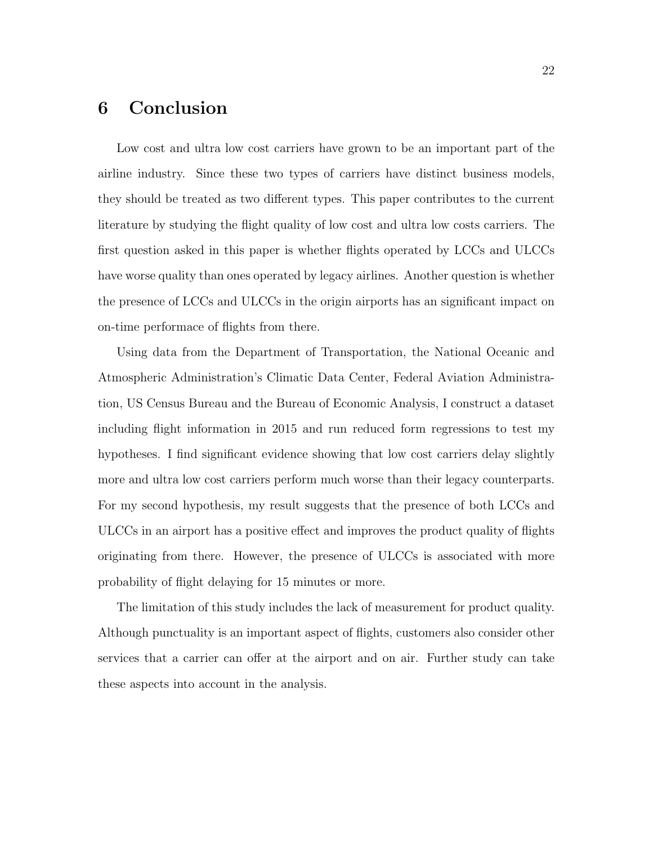## 6 Conclusion

Low cost and ultra low cost carriers have grown to be an important part of the airline industry. Since these two types of carriers have distinct business models, they should be treated as two different types. This paper contributes to the current literature by studying the flight quality of low cost and ultra low costs carriers. The first question asked in this paper is whether flights operated by LCCs and ULCCs have worse quality than ones operated by legacy airlines. Another question is whether the presence of LCCs and ULCCs in the origin airports has an significant impact on on-time performace of flights from there.

Using data from the Department of Transportation, the National Oceanic and Atmospheric Administration's Climatic Data Center, Federal Aviation Administration, US Census Bureau and the Bureau of Economic Analysis, I construct a dataset including flight information in 2015 and run reduced form regressions to test my hypotheses. I find significant evidence showing that low cost carriers delay slightly more and ultra low cost carriers perform much worse than their legacy counterparts. For my second hypothesis, my result suggests that the presence of both LCCs and ULCCs in an airport has a positive effect and improves the product quality of flights originating from there. However, the presence of ULCCs is associated with more probability of flight delaying for 15 minutes or more.

The limitation of this study includes the lack of measurement for product quality. Although punctuality is an important aspect of flights, customers also consider other services that a carrier can offer at the airport and on air. Further study can take these aspects into account in the analysis.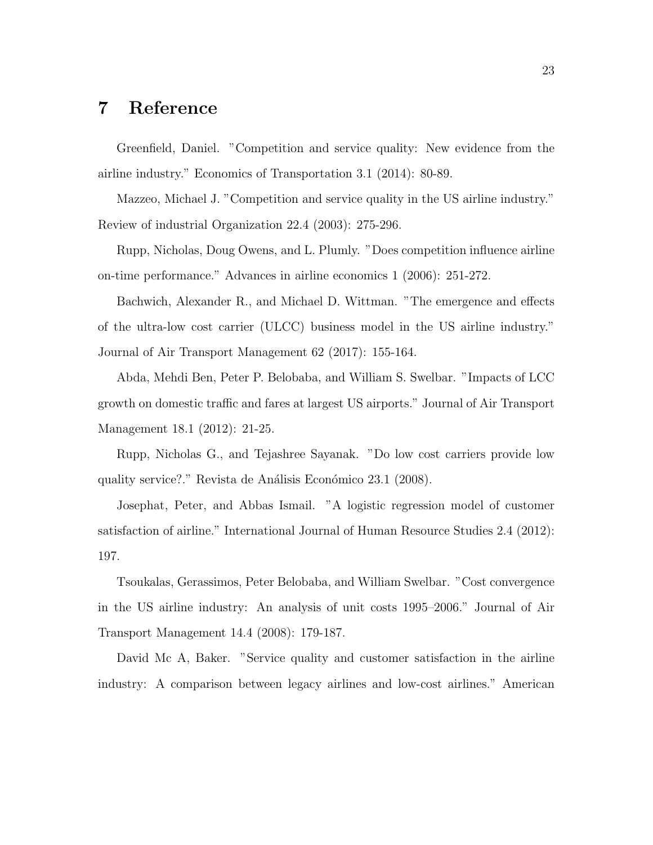## 7 Reference

Greenfield, Daniel. "Competition and service quality: New evidence from the airline industry." Economics of Transportation 3.1 (2014): 80-89.

Mazzeo, Michael J. "Competition and service quality in the US airline industry." Review of industrial Organization 22.4 (2003): 275-296.

Rupp, Nicholas, Doug Owens, and L. Plumly. "Does competition influence airline on-time performance." Advances in airline economics 1 (2006): 251-272.

Bachwich, Alexander R., and Michael D. Wittman. "The emergence and effects of the ultra-low cost carrier (ULCC) business model in the US airline industry." Journal of Air Transport Management 62 (2017): 155-164.

Abda, Mehdi Ben, Peter P. Belobaba, and William S. Swelbar. "Impacts of LCC growth on domestic traffic and fares at largest US airports." Journal of Air Transport Management 18.1 (2012): 21-25.

Rupp, Nicholas G., and Tejashree Sayanak. "Do low cost carriers provide low quality service?." Revista de Análisis Económico 23.1 (2008).

Josephat, Peter, and Abbas Ismail. "A logistic regression model of customer satisfaction of airline." International Journal of Human Resource Studies 2.4 (2012): 197.

Tsoukalas, Gerassimos, Peter Belobaba, and William Swelbar. "Cost convergence in the US airline industry: An analysis of unit costs 1995–2006." Journal of Air Transport Management 14.4 (2008): 179-187.

David Mc A, Baker. "Service quality and customer satisfaction in the airline industry: A comparison between legacy airlines and low-cost airlines." American